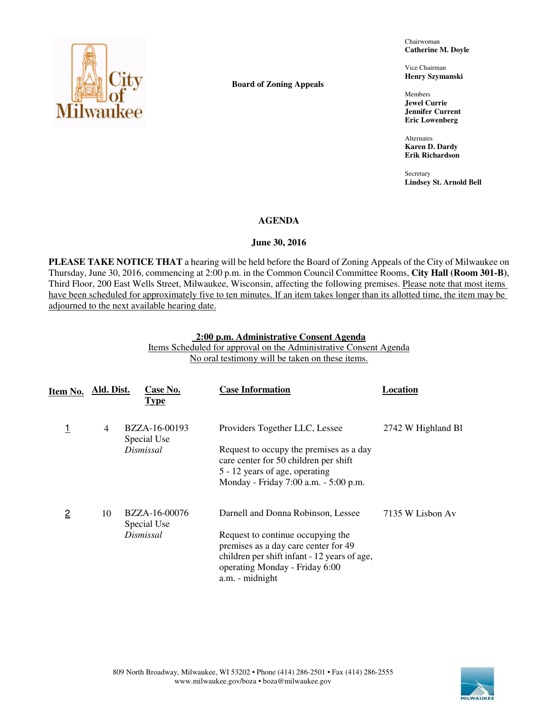

**Board of Zoning Appeals** 

Chairwoman **Catherine M. Doyle** 

Vice Chairman **Henry Szymanski** 

Members **Jewel Currie Jennifer Current Eric Lowenberg** 

Alternates **Karen D. Dardy Erik Richardson** 

**Secretary Lindsey St. Arnold Bell** 

# **AGENDA**

# **June 30, 2016**

**PLEASE TAKE NOTICE THAT** a hearing will be held before the Board of Zoning Appeals of the City of Milwaukee on Thursday, June 30, 2016, commencing at 2:00 p.m. in the Common Council Committee Rooms, **City Hall (Room 301-B)**, Third Floor, 200 East Wells Street, Milwaukee, Wisconsin, affecting the following premises. Please note that most items have been scheduled for approximately five to ten minutes. If an item takes longer than its allotted time, the item may be adjourned to the next available hearing date.

### **2:00 p.m. Administrative Consent Agenda**  Items Scheduled for approval on the Administrative Consent Agenda No oral testimony will be taken on these items.

| Item No.       | Ald. Dist. | Case No.<br><b>Type</b>      | <b>Case Information</b>                                                                                                                                                        | Location           |
|----------------|------------|------------------------------|--------------------------------------------------------------------------------------------------------------------------------------------------------------------------------|--------------------|
|                | 4          | BZZA-16-00193<br>Special Use | Providers Together LLC, Lessee                                                                                                                                                 | 2742 W Highland Bl |
|                |            | Dismissal                    | Request to occupy the premises as a day<br>care center for 50 children per shift<br>5 - 12 years of age, operating<br>Monday - Friday 7:00 a.m. - 5:00 p.m.                    |                    |
| $\overline{2}$ | 10         | BZZA-16-00076<br>Special Use | Darnell and Donna Robinson, Lessee                                                                                                                                             | 7135 W Lisbon Av   |
|                |            | Dismissal                    | Request to continue occupying the<br>premises as a day care center for 49<br>children per shift infant - 12 years of age,<br>operating Monday - Friday 6:00<br>a.m. - midnight |                    |

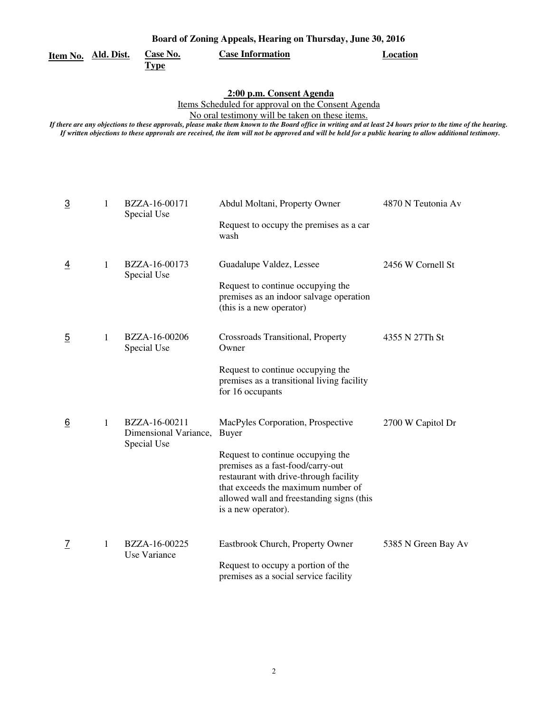| Board of Zoning Appeals, Hearing on Thursday, June 30, 2016 |  |
|-------------------------------------------------------------|--|
|                                                             |  |

**Item No. Ald. Dist.**

**Case No. Case Information Location** 

### **Type**

 **2:00 p.m. Consent Agenda** 

Items Scheduled for approval on the Consent Agenda

No oral testimony will be taken on these items.

| $\overline{3}$ | 1 | BZZA-16-00171<br>Special Use                          | Abdul Moltani, Property Owner                                                                                                                                                                                              | 4870 N Teutonia Av  |
|----------------|---|-------------------------------------------------------|----------------------------------------------------------------------------------------------------------------------------------------------------------------------------------------------------------------------------|---------------------|
|                |   |                                                       | Request to occupy the premises as a car<br>wash                                                                                                                                                                            |                     |
| $\overline{4}$ | 1 | BZZA-16-00173<br>Special Use                          | Guadalupe Valdez, Lessee                                                                                                                                                                                                   | 2456 W Cornell St   |
|                |   |                                                       | Request to continue occupying the<br>premises as an indoor salvage operation<br>(this is a new operator)                                                                                                                   |                     |
| $\overline{5}$ | 1 | BZZA-16-00206<br>Special Use                          | Crossroads Transitional, Property<br>Owner                                                                                                                                                                                 | 4355 N 27Th St      |
|                |   |                                                       | Request to continue occupying the<br>premises as a transitional living facility<br>for 16 occupants                                                                                                                        |                     |
| 6              | 1 | BZZA-16-00211<br>Dimensional Variance,<br>Special Use | MacPyles Corporation, Prospective<br><b>Buyer</b>                                                                                                                                                                          | 2700 W Capitol Dr   |
|                |   |                                                       | Request to continue occupying the<br>premises as a fast-food/carry-out<br>restaurant with drive-through facility<br>that exceeds the maximum number of<br>allowed wall and freestanding signs (this<br>is a new operator). |                     |
| <u>7</u>       | 1 | BZZA-16-00225<br>Use Variance                         | Eastbrook Church, Property Owner                                                                                                                                                                                           | 5385 N Green Bay Av |
|                |   |                                                       | Request to occupy a portion of the<br>premises as a social service facility                                                                                                                                                |                     |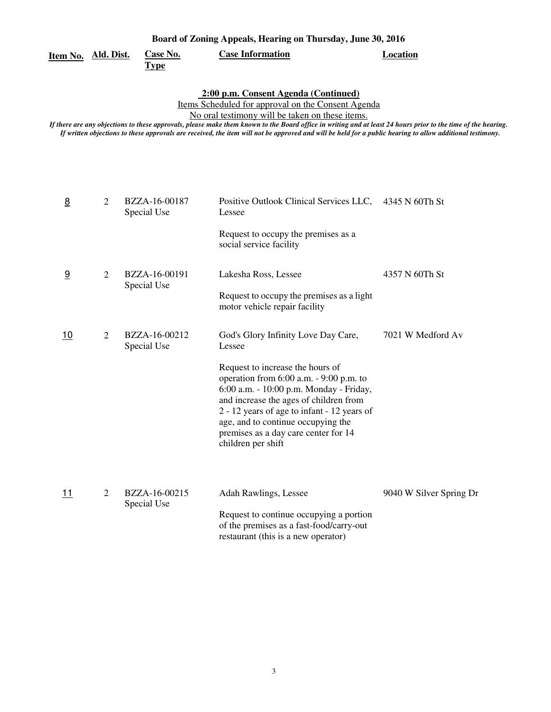| Board of Zoning Appeals, Hearing on Thursday, June 30, 2016 |                                |                         |          |
|-------------------------------------------------------------|--------------------------------|-------------------------|----------|
| Item No. Ald. Dist.                                         | <b>Case No.</b><br><u>Type</u> | <b>Case Information</b> | Location |

 **2:00 p.m. Consent Agenda (Continued)** 

Items Scheduled for approval on the Consent Agenda

No oral testimony will be taken on these items.

| 8         | 2              | BZZA-16-00187<br>Special Use | Positive Outlook Clinical Services LLC,<br>Lessee                                                                                                                                                                                                                                                                                                                       | 4345 N 60Th St          |
|-----------|----------------|------------------------------|-------------------------------------------------------------------------------------------------------------------------------------------------------------------------------------------------------------------------------------------------------------------------------------------------------------------------------------------------------------------------|-------------------------|
|           |                |                              | Request to occupy the premises as a<br>social service facility                                                                                                                                                                                                                                                                                                          |                         |
| 9         | 2              | BZZA-16-00191<br>Special Use | Lakesha Ross, Lessee<br>Request to occupy the premises as a light<br>motor vehicle repair facility                                                                                                                                                                                                                                                                      | 4357 N 60Th St          |
| <u>10</u> | 2              | BZZA-16-00212<br>Special Use | God's Glory Infinity Love Day Care,<br>Lessee<br>Request to increase the hours of<br>operation from $6:00$ a.m. $-9:00$ p.m. to<br>6:00 a.m. - 10:00 p.m. Monday - Friday,<br>and increase the ages of children from<br>2 - 12 years of age to infant - 12 years of<br>age, and to continue occupying the<br>premises as a day care center for 14<br>children per shift | 7021 W Medford Av       |
| <u>11</u> | $\mathfrak{D}$ | BZZA-16-00215<br>Special Use | Adah Rawlings, Lessee<br>Request to continue occupying a portion<br>of the premises as a fast-food/carry-out<br>restaurant (this is a new operator)                                                                                                                                                                                                                     | 9040 W Silver Spring Dr |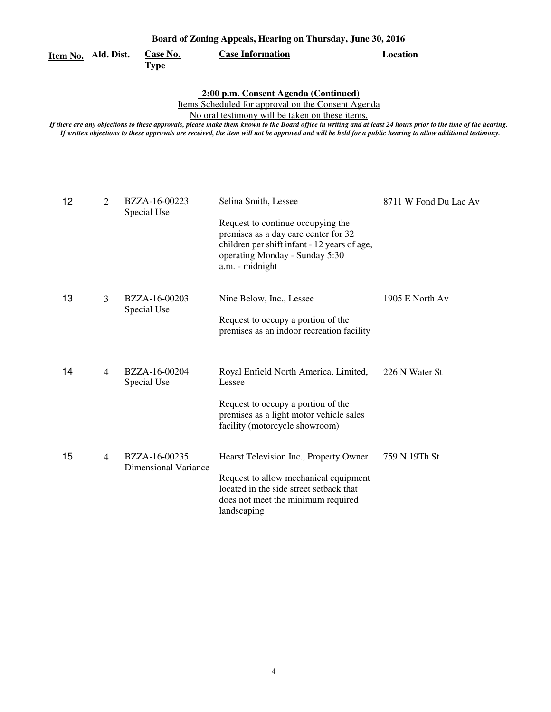|          |            |                  | Board of Zoning Appeals, Hearing on Thursday, June 30, 2016 |          |
|----------|------------|------------------|-------------------------------------------------------------|----------|
| Item No. | Ald. Dist. | Case No.<br>Type | <b>Case Information</b>                                     | Location |

 **2:00 p.m. Consent Agenda (Continued)** 

Items Scheduled for approval on the Consent Agenda

No oral testimony will be taken on these items.

| 12        | 2 | BZZA-16-00223<br>Special Use                 | Selina Smith, Lessee                                                                                                                                                           | 8711 W Fond Du Lac Av |
|-----------|---|----------------------------------------------|--------------------------------------------------------------------------------------------------------------------------------------------------------------------------------|-----------------------|
|           |   |                                              | Request to continue occupying the<br>premises as a day care center for 32<br>children per shift infant - 12 years of age,<br>operating Monday - Sunday 5:30<br>a.m. - midnight |                       |
| <u>13</u> | 3 | BZZA-16-00203                                | Nine Below, Inc., Lessee                                                                                                                                                       | 1905 E North Av       |
|           |   | Special Use                                  | Request to occupy a portion of the<br>premises as an indoor recreation facility                                                                                                |                       |
| 14        | 4 | BZZA-16-00204<br>Special Use                 | Royal Enfield North America, Limited,<br>Lessee                                                                                                                                | 226 N Water St        |
|           |   |                                              | Request to occupy a portion of the<br>premises as a light motor vehicle sales<br>facility (motorcycle showroom)                                                                |                       |
| 15        | 4 | BZZA-16-00235<br><b>Dimensional Variance</b> | Hearst Television Inc., Property Owner                                                                                                                                         | 759 N 19Th St         |
|           |   |                                              | Request to allow mechanical equipment<br>located in the side street setback that<br>does not meet the minimum required<br>landscaping                                          |                       |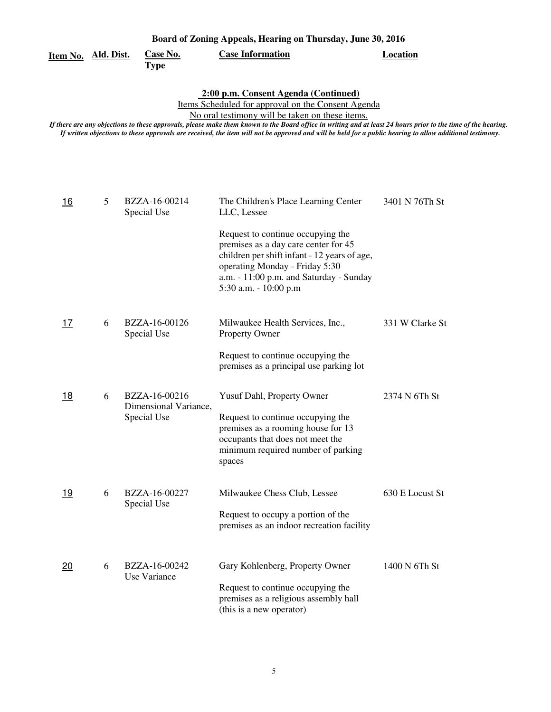|                     | Board of Zoning Appeals, Hearing on Thursday, June 30, 2016 |                                                       |                                                                                                                                                                                                                                                                                                                                                                                                                                                                             |                 |  |  |  |
|---------------------|-------------------------------------------------------------|-------------------------------------------------------|-----------------------------------------------------------------------------------------------------------------------------------------------------------------------------------------------------------------------------------------------------------------------------------------------------------------------------------------------------------------------------------------------------------------------------------------------------------------------------|-----------------|--|--|--|
| Item No. Ald. Dist. |                                                             | Case No.<br><b>Type</b>                               | <b>Case Information</b>                                                                                                                                                                                                                                                                                                                                                                                                                                                     | <b>Location</b> |  |  |  |
|                     |                                                             |                                                       | 2:00 p.m. Consent Agenda (Continued)<br>Items Scheduled for approval on the Consent Agenda<br>No oral testimony will be taken on these items.<br>If there are any objections to these approvals, please make them known to the Board office in writing and at least 24 hours prior to the time of the hearing.<br>If written objections to these approvals are received, the item will not be approved and will be held for a public hearing to allow additional testimony. |                 |  |  |  |
| <u>16</u>           | 5                                                           | BZZA-16-00214<br>Special Use                          | The Children's Place Learning Center<br>LLC, Lessee                                                                                                                                                                                                                                                                                                                                                                                                                         | 3401 N 76Th St  |  |  |  |
|                     |                                                             |                                                       | Request to continue occupying the<br>premises as a day care center for 45<br>children per shift infant - 12 years of age,<br>operating Monday - Friday 5:30<br>a.m. - 11:00 p.m. and Saturday - Sunday<br>5:30 a.m. - 10:00 p.m                                                                                                                                                                                                                                             |                 |  |  |  |
| 17                  | 6                                                           | BZZA-16-00126<br>Special Use                          | Milwaukee Health Services, Inc.,<br><b>Property Owner</b>                                                                                                                                                                                                                                                                                                                                                                                                                   | 331 W Clarke St |  |  |  |
|                     |                                                             |                                                       | Request to continue occupying the<br>premises as a principal use parking lot                                                                                                                                                                                                                                                                                                                                                                                                |                 |  |  |  |
| <u>18</u>           | 6                                                           | BZZA-16-00216<br>Dimensional Variance,<br>Special Use | Yusuf Dahl, Property Owner<br>Request to continue occupying the<br>premises as a rooming house for 13<br>occupants that does not meet the<br>minimum required number of parking<br>spaces                                                                                                                                                                                                                                                                                   | 2374 N 6Th St   |  |  |  |
| 19                  | 6                                                           | BZZA-16-00227<br>Special Use                          | Milwaukee Chess Club, Lessee<br>Request to occupy a portion of the<br>premises as an indoor recreation facility                                                                                                                                                                                                                                                                                                                                                             | 630 E Locust St |  |  |  |
| 20                  | 6                                                           | BZZA-16-00242<br>Use Variance                         | Gary Kohlenberg, Property Owner<br>Request to continue occupying the<br>premises as a religious assembly hall<br>(this is a new operator)                                                                                                                                                                                                                                                                                                                                   | 1400 N 6Th St   |  |  |  |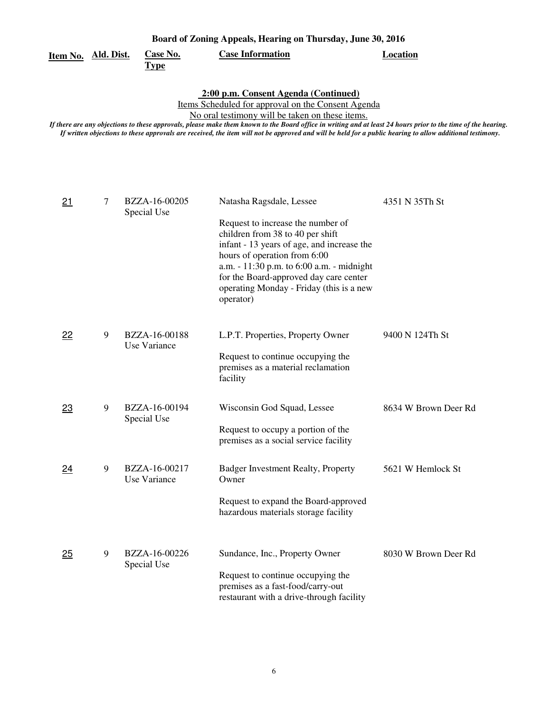| <u>Item No. Ald. Dist.</u> |   | <b>Case No.</b><br><b>Type</b> | <b>Case Information</b>                                                                                                                                                                                                                                                                                                                                                                                                                                                     | <b>Location</b>      |
|----------------------------|---|--------------------------------|-----------------------------------------------------------------------------------------------------------------------------------------------------------------------------------------------------------------------------------------------------------------------------------------------------------------------------------------------------------------------------------------------------------------------------------------------------------------------------|----------------------|
|                            |   |                                | 2:00 p.m. Consent Agenda (Continued)<br>Items Scheduled for approval on the Consent Agenda<br>No oral testimony will be taken on these items.<br>If there are any objections to these approvals, please make them known to the Board office in writing and at least 24 hours prior to the time of the hearing.<br>If written objections to these approvals are received, the item will not be approved and will be held for a public hearing to allow additional testimony. |                      |
| 21                         | 7 | BZZA-16-00205<br>Special Use   | Natasha Ragsdale, Lessee<br>Request to increase the number of<br>children from 38 to 40 per shift<br>infant - 13 years of age, and increase the<br>hours of operation from 6:00<br>a.m. - 11:30 p.m. to 6:00 a.m. - midnight<br>for the Board-approved day care center<br>operating Monday - Friday (this is a new<br>operator)                                                                                                                                             | 4351 N 35Th St       |
| 22                         | 9 | BZZA-16-00188<br>Use Variance  | L.P.T. Properties, Property Owner<br>Request to continue occupying the<br>premises as a material reclamation<br>facility                                                                                                                                                                                                                                                                                                                                                    | 9400 N 124Th St      |
| 23                         | 9 | BZZA-16-00194<br>Special Use   | Wisconsin God Squad, Lessee<br>Request to occupy a portion of the<br>premises as a social service facility                                                                                                                                                                                                                                                                                                                                                                  | 8634 W Brown Deer Rd |
| 24                         | 9 | BZZA-16-00217<br>Use Variance  | Badger Investment Realty, Property<br>Owner<br>Request to expand the Board-approved<br>hazardous materials storage facility                                                                                                                                                                                                                                                                                                                                                 | 5621 W Hemlock St    |
| 25                         | 9 | BZZA-16-00226<br>Special Use   | Sundance, Inc., Property Owner<br>Request to continue occupying the<br>premises as a fast-food/carry-out<br>restaurant with a drive-through facility                                                                                                                                                                                                                                                                                                                        | 8030 W Brown Deer Rd |

**Board of Zoning Appeals, Hearing on Thursday, June 30, 2016**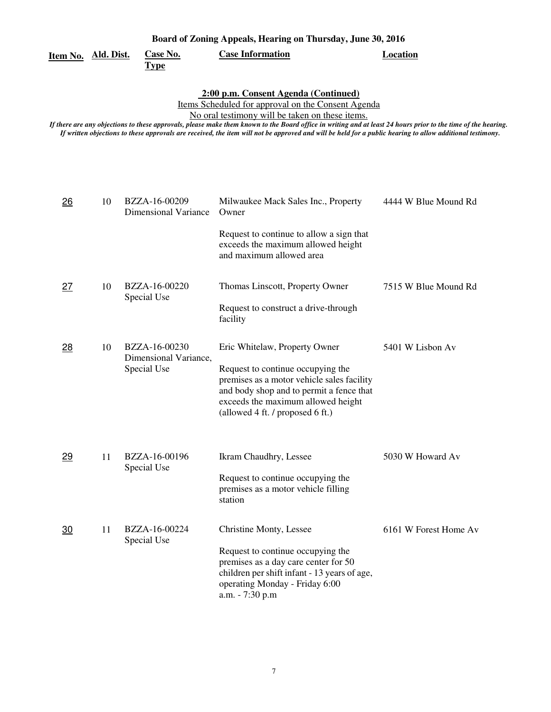| Board of Zoning Appeals, Hearing on Thursday, June 30, 2016 |    |                                                       |                                                                                                                                                                                                                                                                                                                                                                                                                                                                             |                       |
|-------------------------------------------------------------|----|-------------------------------------------------------|-----------------------------------------------------------------------------------------------------------------------------------------------------------------------------------------------------------------------------------------------------------------------------------------------------------------------------------------------------------------------------------------------------------------------------------------------------------------------------|-----------------------|
| <u>Item No. Ald. Dist.</u>                                  |    | <b>Case No.</b><br><b>Type</b>                        | <b>Case Information</b>                                                                                                                                                                                                                                                                                                                                                                                                                                                     | <b>Location</b>       |
|                                                             |    |                                                       | 2:00 p.m. Consent Agenda (Continued)<br>Items Scheduled for approval on the Consent Agenda<br>No oral testimony will be taken on these items.<br>If there are any objections to these approvals, please make them known to the Board office in writing and at least 24 hours prior to the time of the hearing.<br>If written objections to these approvals are received, the item will not be approved and will be held for a public hearing to allow additional testimony. |                       |
| 26                                                          | 10 | BZZA-16-00209<br><b>Dimensional Variance</b>          | Milwaukee Mack Sales Inc., Property<br>Owner<br>Request to continue to allow a sign that<br>exceeds the maximum allowed height<br>and maximum allowed area                                                                                                                                                                                                                                                                                                                  | 4444 W Blue Mound Rd  |
| <u>27</u>                                                   | 10 | BZZA-16-00220<br>Special Use                          | Thomas Linscott, Property Owner<br>Request to construct a drive-through<br>facility                                                                                                                                                                                                                                                                                                                                                                                         | 7515 W Blue Mound Rd  |
| $_{28}$                                                     | 10 | BZZA-16-00230<br>Dimensional Variance,<br>Special Use | Eric Whitelaw, Property Owner<br>Request to continue occupying the<br>premises as a motor vehicle sales facility<br>and body shop and to permit a fence that<br>exceeds the maximum allowed height<br>(allowed 4 ft. / proposed 6 ft.)                                                                                                                                                                                                                                      | 5401 W Lisbon Av      |
| 29                                                          | 11 | BZZA-16-00196<br>Special Use                          | Ikram Chaudhry, Lessee<br>Request to continue occupying the<br>premises as a motor vehicle filling<br>station                                                                                                                                                                                                                                                                                                                                                               | 5030 W Howard Av      |
| <u>30</u>                                                   | 11 | BZZA-16-00224<br>Special Use                          | Christine Monty, Lessee<br>Request to continue occupying the<br>premises as a day care center for 50<br>children per shift infant - 13 years of age,<br>operating Monday - Friday 6:00<br>a.m. - 7:30 p.m                                                                                                                                                                                                                                                                   | 6161 W Forest Home Av |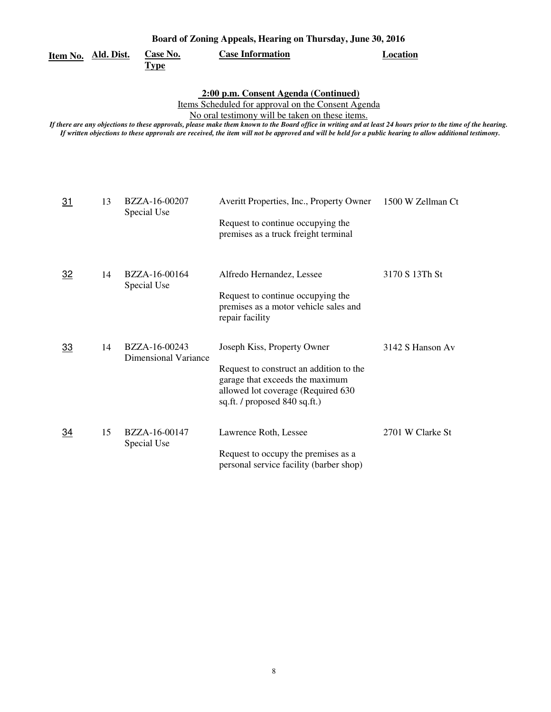| Board of Zoning Appeals, Hearing on Thursday, June 30, 2016 |                         |                         |          |
|-------------------------------------------------------------|-------------------------|-------------------------|----------|
| Item No. Ald. Dist.                                         | Case No.<br><u>Type</u> | <b>Case Information</b> | Location |

 **2:00 p.m. Consent Agenda (Continued)** 

Items Scheduled for approval on the Consent Agenda

No oral testimony will be taken on these items.

| 31        | 13 | BZZA-16-00207<br>Special Use                 | Averitt Properties, Inc., Property Owner<br>Request to continue occupying the<br>premises as a truck freight terminal                                                            | 1500 W Zellman Ct |
|-----------|----|----------------------------------------------|----------------------------------------------------------------------------------------------------------------------------------------------------------------------------------|-------------------|
| 32        | 14 | BZZA-16-00164<br>Special Use                 | Alfredo Hernandez, Lessee<br>Request to continue occupying the<br>premises as a motor vehicle sales and<br>repair facility                                                       | 3170 S 13Th St    |
| 33        | 14 | BZZA-16-00243<br><b>Dimensional Variance</b> | Joseph Kiss, Property Owner<br>Request to construct an addition to the<br>garage that exceeds the maximum<br>allowed lot coverage (Required 630<br>sq.ft. / proposed 840 sq.ft.) | 3142 S Hanson Av  |
| <u>34</u> | 15 | BZZA-16-00147<br>Special Use                 | Lawrence Roth, Lessee<br>Request to occupy the premises as a<br>personal service facility (barber shop)                                                                          | 2701 W Clarke St  |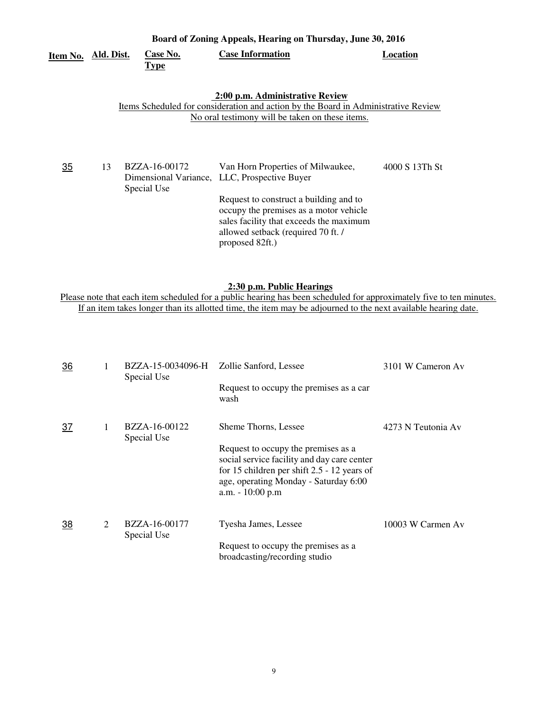| Board of Zoning Appeals, Hearing on Thursday, June 30, 2016 |            |                              |                                                                                                                                                                                                                                                                           |                |  |
|-------------------------------------------------------------|------------|------------------------------|---------------------------------------------------------------------------------------------------------------------------------------------------------------------------------------------------------------------------------------------------------------------------|----------------|--|
| Item No.                                                    | Ald. Dist. | Case No.<br><b>Type</b>      | <b>Case Information</b>                                                                                                                                                                                                                                                   | Location       |  |
|                                                             |            |                              | 2:00 p.m. Administrative Review<br>Items Scheduled for consideration and action by the Board in Administrative Review<br>No oral testimony will be taken on these items.                                                                                                  |                |  |
| 35                                                          | 13         | BZZA-16-00172<br>Special Use | Van Horn Properties of Milwaukee,<br>Dimensional Variance, LLC, Prospective Buyer<br>Request to construct a building and to<br>occupy the premises as a motor vehicle<br>sales facility that exceeds the maximum<br>allowed setback (required 70 ft. /<br>proposed 82ft.) | 4000 S 13Th St |  |

### **2:30 p.m. Public Hearings**

Please note that each item scheduled for a public hearing has been scheduled for approximately five to ten minutes. If an item takes longer than its allotted time, the item may be adjourned to the next available hearing date.

| $\overline{36}$ |   | BZZA-15-0034096-H<br>Special Use    | Zollie Sanford, Lessee<br>Request to occupy the premises as a car                                                                                                                                | 3101 W Cameron Av  |
|-----------------|---|-------------------------------------|--------------------------------------------------------------------------------------------------------------------------------------------------------------------------------------------------|--------------------|
|                 |   |                                     | wash                                                                                                                                                                                             |                    |
| <u>37</u>       | 1 | BZZA-16-00122<br>Special Use        | Sheme Thorns, Lessee                                                                                                                                                                             | 4273 N Teutonia Av |
|                 |   |                                     | Request to occupy the premises as a<br>social service facility and day care center<br>for 15 children per shift $2.5 - 12$ years of<br>age, operating Monday - Saturday 6:00<br>a.m. - 10:00 p.m |                    |
| 38              | 2 | <b>BZZA-16-00177</b><br>Special Use | Tyesha James, Lessee                                                                                                                                                                             | 10003 W Carmen Av  |
|                 |   |                                     | Request to occupy the premises as a<br>broadcasting/recording studio                                                                                                                             |                    |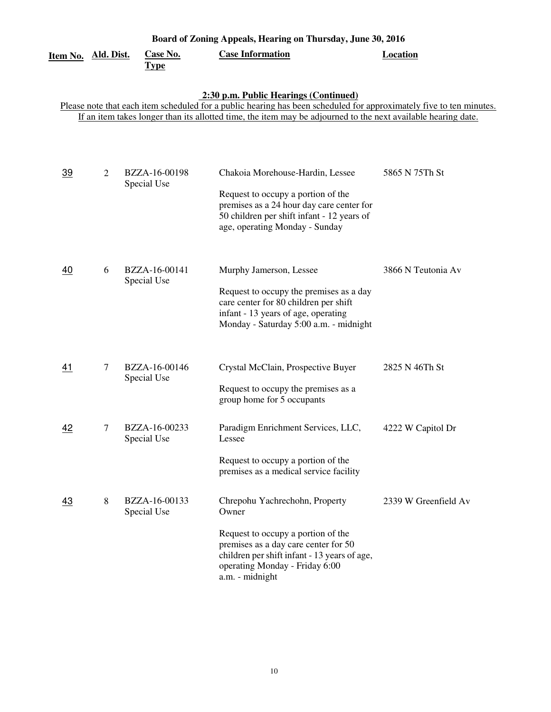| Item No.  | <u>Ald. Dist.</u> | <b>Case No.</b>              | Board of Zoning Appeals, Hearing on Thursday, June 30, 2016<br><b>Case Information</b>                                                                                                                                                                                        | <b>Location</b>      |
|-----------|-------------------|------------------------------|-------------------------------------------------------------------------------------------------------------------------------------------------------------------------------------------------------------------------------------------------------------------------------|----------------------|
|           |                   | <b>Type</b>                  |                                                                                                                                                                                                                                                                               |                      |
|           |                   |                              | 2:30 p.m. Public Hearings (Continued)<br>Please note that each item scheduled for a public hearing has been scheduled for approximately five to ten minutes.<br>If an item takes longer than its allotted time, the item may be adjourned to the next available hearing date. |                      |
| <u>39</u> | 2                 | BZZA-16-00198<br>Special Use | Chakoia Morehouse-Hardin, Lessee<br>Request to occupy a portion of the<br>premises as a 24 hour day care center for<br>50 children per shift infant - 12 years of<br>age, operating Monday - Sunday                                                                           | 5865 N 75Th St       |
| <u>40</u> | 6                 | BZZA-16-00141<br>Special Use | Murphy Jamerson, Lessee<br>Request to occupy the premises as a day<br>care center for 80 children per shift<br>infant - 13 years of age, operating<br>Monday - Saturday 5:00 a.m. - midnight                                                                                  | 3866 N Teutonia Av   |
| <u>41</u> | 7                 | BZZA-16-00146<br>Special Use | Crystal McClain, Prospective Buyer<br>Request to occupy the premises as a<br>group home for 5 occupants                                                                                                                                                                       | 2825 N 46Th St       |
| 42        | 7                 | BZZA-16-00233<br>Special Use | Paradigm Enrichment Services, LLC,<br>Lessee<br>Request to occupy a portion of the<br>premises as a medical service facility                                                                                                                                                  | 4222 W Capitol Dr    |
| 43        | 8                 | BZZA-16-00133<br>Special Use | Chrepohu Yachrechohn, Property<br>Owner<br>Request to occupy a portion of the<br>premises as a day care center for 50<br>children per shift infant - 13 years of age,<br>operating Monday - Friday 6:00<br>a.m. - midnight                                                    | 2339 W Greenfield Av |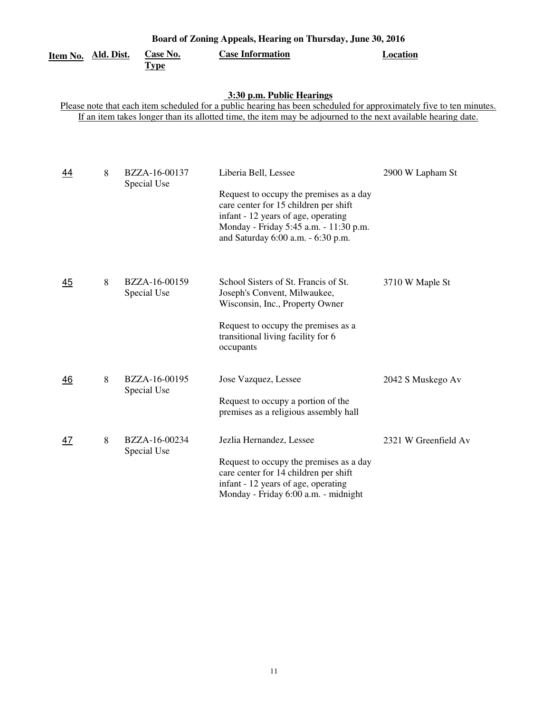| Board of Zoning Appeals, Hearing on Thursday, June 30, 2016                                                                                                                                                                                                       |                   |                                |                                                                                                                                                                                                                                 |                      |  |  |
|-------------------------------------------------------------------------------------------------------------------------------------------------------------------------------------------------------------------------------------------------------------------|-------------------|--------------------------------|---------------------------------------------------------------------------------------------------------------------------------------------------------------------------------------------------------------------------------|----------------------|--|--|
| Item No.                                                                                                                                                                                                                                                          | <u>Ald. Dist.</u> | <b>Case No.</b><br><b>Type</b> | <b>Case Information</b>                                                                                                                                                                                                         | <b>Location</b>      |  |  |
| 3:30 p.m. Public Hearings<br>Please note that each item scheduled for a public hearing has been scheduled for approximately five to ten minutes.<br>If an item takes longer than its allotted time, the item may be adjourned to the next available hearing date. |                   |                                |                                                                                                                                                                                                                                 |                      |  |  |
| 44                                                                                                                                                                                                                                                                | 8                 | BZZA-16-00137<br>Special Use   | Liberia Bell, Lessee<br>Request to occupy the premises as a day<br>care center for 15 children per shift<br>infant - 12 years of age, operating<br>Monday - Friday 5:45 a.m. - 11:30 p.m.<br>and Saturday 6:00 a.m. - 6:30 p.m. | 2900 W Lapham St     |  |  |
| 45                                                                                                                                                                                                                                                                | 8                 | BZZA-16-00159<br>Special Use   | School Sisters of St. Francis of St.<br>Joseph's Convent, Milwaukee,<br>Wisconsin, Inc., Property Owner<br>Request to occupy the premises as a<br>transitional living facility for 6<br>occupants                               | 3710 W Maple St      |  |  |
| 46                                                                                                                                                                                                                                                                | 8                 | BZZA-16-00195<br>Special Use   | Jose Vazquez, Lessee<br>Request to occupy a portion of the<br>premises as a religious assembly hall                                                                                                                             | 2042 S Muskego Av    |  |  |
| 47                                                                                                                                                                                                                                                                | 8                 | BZZA-16-00234<br>Special Use   | Jezlia Hernandez, Lessee<br>Request to occupy the premises as a day<br>care center for 14 children per shift<br>infant - 12 years of age, operating<br>Monday - Friday 6:00 a.m. - midnight                                     | 2321 W Greenfield Av |  |  |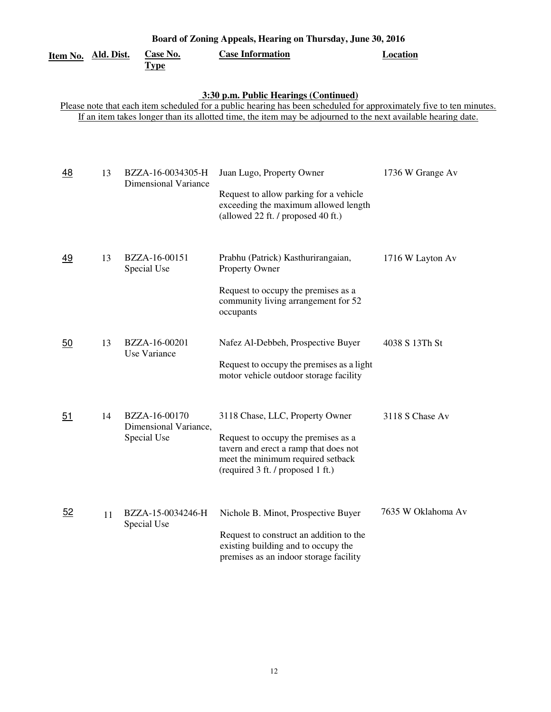| Board of Zoning Appeals, Hearing on Thursday, June 30, 2016 |                   |                                                       |                                                                                                                                                                                                                                                                               |                    |  |
|-------------------------------------------------------------|-------------------|-------------------------------------------------------|-------------------------------------------------------------------------------------------------------------------------------------------------------------------------------------------------------------------------------------------------------------------------------|--------------------|--|
| Item No.                                                    | <u>Ald. Dist.</u> | <b>Case No.</b><br><b>Type</b>                        | <b>Case Information</b>                                                                                                                                                                                                                                                       | <b>Location</b>    |  |
|                                                             |                   |                                                       | 3:30 p.m. Public Hearings (Continued)<br>Please note that each item scheduled for a public hearing has been scheduled for approximately five to ten minutes.<br>If an item takes longer than its allotted time, the item may be adjourned to the next available hearing date. |                    |  |
| 48                                                          | 13                | BZZA-16-0034305-H<br><b>Dimensional Variance</b>      | Juan Lugo, Property Owner<br>Request to allow parking for a vehicle<br>exceeding the maximum allowed length<br>(allowed 22 ft. / proposed 40 ft.)                                                                                                                             | 1736 W Grange Av   |  |
| 49                                                          | 13                | BZZA-16-00151<br>Special Use                          | Prabhu (Patrick) Kasthurirangaian,<br>Property Owner<br>Request to occupy the premises as a<br>community living arrangement for 52<br>occupants                                                                                                                               | 1716 W Layton Av   |  |
| 50                                                          | 13                | BZZA-16-00201<br>Use Variance                         | Nafez Al-Debbeh, Prospective Buyer<br>Request to occupy the premises as a light<br>motor vehicle outdoor storage facility                                                                                                                                                     | 4038 S 13Th St     |  |
| 51                                                          | 14                | BZZA-16-00170<br>Dimensional Variance,<br>Special Use | 3118 Chase, LLC, Property Owner<br>Request to occupy the premises as a<br>tavern and erect a ramp that does not<br>meet the minimum required setback<br>(required 3 ft. / proposed 1 ft.)                                                                                     | 3118 S Chase Av    |  |
| 52                                                          | 11                | BZZA-15-0034246-H<br>Special Use                      | Nichole B. Minot, Prospective Buyer<br>Request to construct an addition to the<br>existing building and to occupy the<br>premises as an indoor storage facility                                                                                                               | 7635 W Oklahoma Av |  |